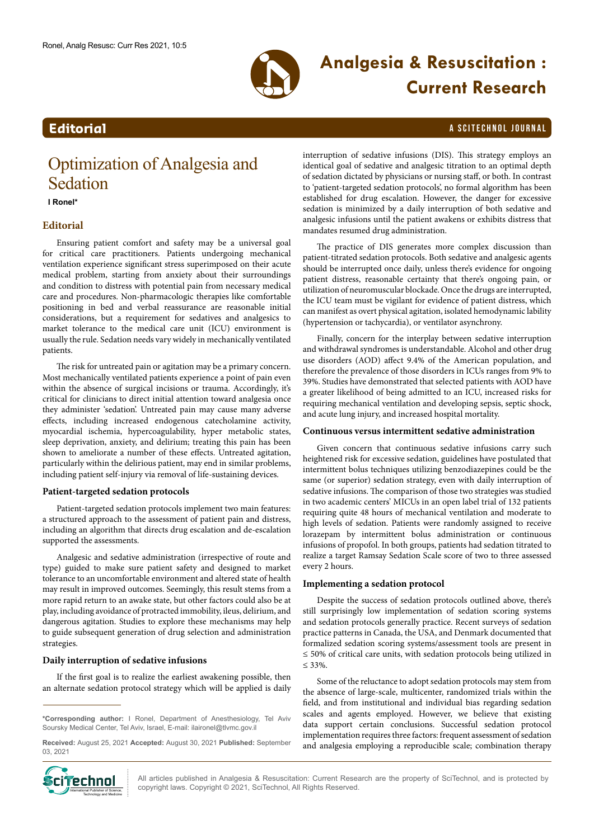

# **Analgesia & Resuscitation : Current Research**

### **Editorial** a Scitechnol journal and the set of the set of the set of the set of the set of the set of the set of the set of the set of the set of the set of the set of the set of the set of the set of the set of the set o

## Optimization of Analgesia and Sedation

**I Ronel\***

#### **Editorial**

Ensuring patient comfort and safety may be a universal goal for critical care practitioners. Patients undergoing mechanical ventilation experience significant stress superimposed on their acute medical problem, starting from anxiety about their surroundings and condition to distress with potential pain from necessary medical care and procedures. Non-pharmacologic therapies like comfortable positioning in bed and verbal reassurance are reasonable initial considerations, but a requirement for sedatives and analgesics to market tolerance to the medical care unit (ICU) environment is usually the rule. Sedation needs vary widely in mechanically ventilated patients.

The risk for untreated pain or agitation may be a primary concern. Most mechanically ventilated patients experience a point of pain even within the absence of surgical incisions or trauma. Accordingly, it's critical for clinicians to direct initial attention toward analgesia once they administer 'sedation'. Untreated pain may cause many adverse effects, including increased endogenous catecholamine activity, myocardial ischemia, hypercoagulability, hyper metabolic states, sleep deprivation, anxiety, and delirium; treating this pain has been shown to ameliorate a number of these effects. Untreated agitation, particularly within the delirious patient, may end in similar problems, including patient self-injury via removal of life-sustaining devices.

#### **Patient-targeted sedation protocols**

Patient-targeted sedation protocols implement two main features: a structured approach to the assessment of patient pain and distress, including an algorithm that directs drug escalation and de-escalation supported the assessments.

Analgesic and sedative administration (irrespective of route and type) guided to make sure patient safety and designed to market tolerance to an uncomfortable environment and altered state of health may result in improved outcomes. Seemingly, this result stems from a more rapid return to an awake state, but other factors could also be at play, including avoidance of protracted immobility, ileus, delirium, and dangerous agitation. Studies to explore these mechanisms may help to guide subsequent generation of drug selection and administration strategies.

#### **Daily interruption of sedative infusions**

If the first goal is to realize the earliest awakening possible, then an alternate sedation protocol strategy which will be applied is daily

**Received:** August 25, 2021 **Accepted:** August 30, 2021 **Published:** September 03, 2021



interruption of sedative infusions (DIS). This strategy employs an identical goal of sedative and analgesic titration to an optimal depth of sedation dictated by physicians or nursing staff, or both. In contrast to 'patient-targeted sedation protocols', no formal algorithm has been established for drug escalation. However, the danger for excessive sedation is minimized by a daily interruption of both sedative and analgesic infusions until the patient awakens or exhibits distress that mandates resumed drug administration.

The practice of DIS generates more complex discussion than patient-titrated sedation protocols. Both sedative and analgesic agents should be interrupted once daily, unless there's evidence for ongoing patient distress, reasonable certainty that there's ongoing pain, or utilization of neuromuscular blockade. Once the drugs are interrupted, the ICU team must be vigilant for evidence of patient distress, which can manifest as overt physical agitation, isolated hemodynamic lability (hypertension or tachycardia), or ventilator asynchrony.

Finally, concern for the interplay between sedative interruption and withdrawal syndromes is understandable. Alcohol and other drug use disorders (AOD) affect 9.4% of the American population, and therefore the prevalence of those disorders in ICUs ranges from 9% to 39%. Studies have demonstrated that selected patients with AOD have a greater likelihood of being admitted to an ICU, increased risks for requiring mechanical ventilation and developing sepsis, septic shock, and acute lung injury, and increased hospital mortality.

#### **Continuous versus intermittent sedative administration**

Given concern that continuous sedative infusions carry such heightened risk for excessive sedation, guidelines have postulated that intermittent bolus techniques utilizing benzodiazepines could be the same (or superior) sedation strategy, even with daily interruption of sedative infusions. The comparison of those two strategies was studied in two academic centers' MICUs in an open label trial of 132 patients requiring quite 48 hours of mechanical ventilation and moderate to high levels of sedation. Patients were randomly assigned to receive lorazepam by intermittent bolus administration or continuous infusions of propofol. In both groups, patients had sedation titrated to realize a target Ramsay Sedation Scale score of two to three assessed every 2 hours.

#### **Implementing a sedation protocol**

Despite the success of sedation protocols outlined above, there's still surprisingly low implementation of sedation scoring systems and sedation protocols generally practice. Recent surveys of sedation practice patterns in Canada, the USA, and Denmark documented that formalized sedation scoring systems/assessment tools are present in ≤ 50% of critical care units, with sedation protocols being utilized in ≤ 33%.

Some of the reluctance to adopt sedation protocols may stem from the absence of large-scale, multicenter, randomized trials within the field, and from institutional and individual bias regarding sedation scales and agents employed. However, we believe that existing data support certain conclusions. Successful sedation protocol implementation requires three factors: frequent assessment of sedation and analgesia employing a reproducible scale; combination therapy

All articles published in Analgesia & Resuscitation: Current Research are the property of SciTechnol, and is protected by  $\text{Cip}$  **Communishers of Science 1998** All articles published in Analgesia & Resuscitation: Current Reserved.  $\text{Cip}$ 

**<sup>\*</sup>Corresponding author:** I Ronel, Department of Anesthesiology, Tel Aviv Soursky Medical Center, Tel Aviv, Israel, E-mail: ilaironel@tlvmc.gov.il